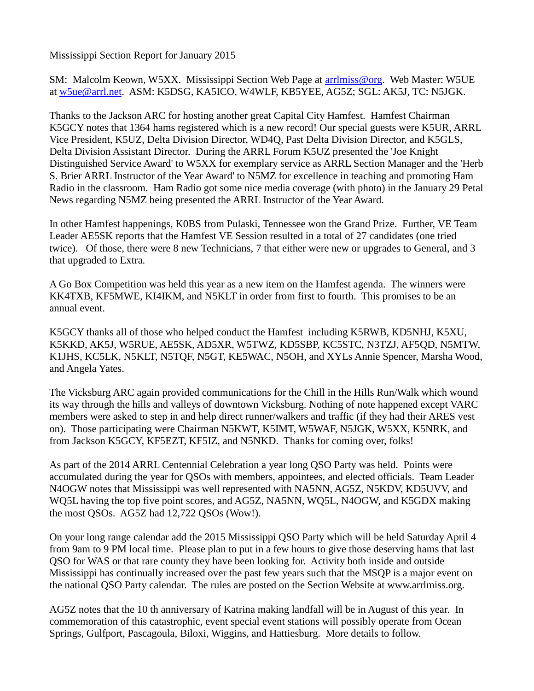Mississippi Section Report for January 2015

SM: Malcolm Keown, W5XX. Mississippi Section Web Page at [arrlmiss@org.](mailto:arrlmiss@org) Web Master: W5UE at [w5ue@arrl.net.](mailto:w5ue@arrl.net) ASM: K5DSG, KA5ICO, W4WLF, KB5YEE, AG5Z; SGL: AK5J, TC: N5JGK.

Thanks to the Jackson ARC for hosting another great Capital City Hamfest. Hamfest Chairman K5GCY notes that 1364 hams registered which is a new record! Our special guests were K5UR, ARRL Vice President, K5UZ, Delta Division Director, WD4Q, Past Delta Division Director, and K5GLS, Delta Division Assistant Director. During the ARRL Forum K5UZ presented the 'Joe Knight Distinguished Service Award' to W5XX for exemplary service as ARRL Section Manager and the 'Herb S. Brier ARRL Instructor of the Year Award' to N5MZ for excellence in teaching and promoting Ham Radio in the classroom. Ham Radio got some nice media coverage (with photo) in the January 29 Petal News regarding N5MZ being presented the ARRL Instructor of the Year Award.

In other Hamfest happenings, K0BS from Pulaski, Tennessee won the Grand Prize. Further, VE Team Leader AE5SK reports that the Hamfest VE Session resulted in a total of 27 candidates (one tried twice). Of those, there were 8 new Technicians, 7 that either were new or upgrades to General, and 3 that upgraded to Extra.

A Go Box Competition was held this year as a new item on the Hamfest agenda. The winners were KK4TXB, KF5MWE, KI4IKM, and N5KLT in order from first to fourth. This promises to be an annual event.

K5GCY thanks all of those who helped conduct the Hamfest including K5RWB, KD5NHJ, K5XU, K5KKD, AK5J, W5RUE, AE5SK, AD5XR, W5TWZ, KD5SBP, KC5STC, N3TZJ, AF5QD, N5MTW, K1JHS, KC5LK, N5KLT, N5TQF, N5GT, KE5WAC, N5OH, and XYLs Annie Spencer, Marsha Wood, and Angela Yates.

The Vicksburg ARC again provided communications for the Chill in the Hills Run/Walk which wound its way through the hills and valleys of downtown Vicksburg. Nothing of note happened except VARC members were asked to step in and help direct runner/walkers and traffic (if they had their ARES vest on). Those participating were Chairman N5KWT, K5IMT, W5WAF, N5JGK, W5XX, K5NRK, and from Jackson K5GCY, KF5EZT, KF5IZ, and N5NKD. Thanks for coming over, folks!

As part of the 2014 ARRL Centennial Celebration a year long QSO Party was held. Points were accumulated during the year for QSOs with members, appointees, and elected officials. Team Leader N4OGW notes that Mississippi was well represented with NA5NN, AG5Z, N5KDV, KD5UVV, and WQ5L having the top five point scores, and AG5Z, NA5NN, WQ5L, N4OGW, and K5GDX making the most QSOs. AG5Z had 12,722 QSOs (Wow!).

On your long range calendar add the 2015 Mississippi QSO Party which will be held Saturday April 4 from 9am to 9 PM local time. Please plan to put in a few hours to give those deserving hams that last QSO for WAS or that rare county they have been looking for. Activity both inside and outside Mississippi has continually increased over the past few years such that the MSQP is a major event on the national QSO Party calendar. The rules are posted on the Section Website at www.arrlmiss.org.

AG5Z notes that the 10 th anniversary of Katrina making landfall will be in August of this year. In commemoration of this catastrophic, event special event stations will possibly operate from Ocean Springs, Gulfport, Pascagoula, Biloxi, Wiggins, and Hattiesburg. More details to follow.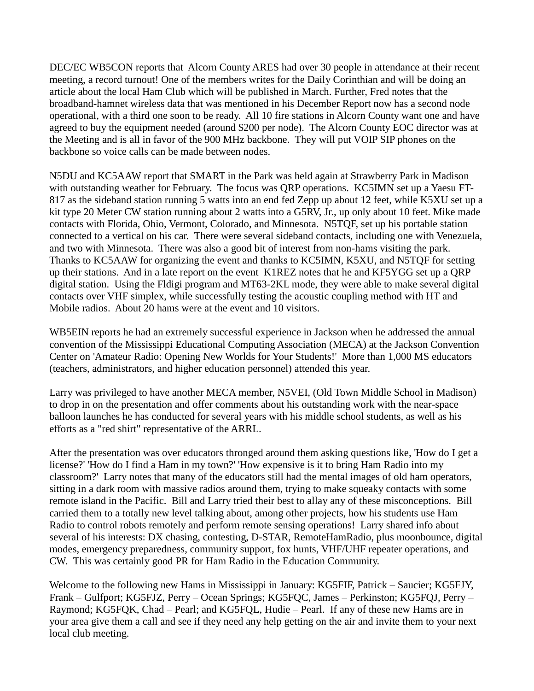DEC/EC WB5CON reports that Alcorn County ARES had over 30 people in attendance at their recent meeting, a record turnout! One of the members writes for the Daily Corinthian and will be doing an article about the local Ham Club which will be published in March. Further, Fred notes that the broadband-hamnet wireless data that was mentioned in his December Report now has a second node operational, with a third one soon to be ready. All 10 fire stations in Alcorn County want one and have agreed to buy the equipment needed (around \$200 per node). The Alcorn County EOC director was at the Meeting and is all in favor of the 900 MHz backbone. They will put VOIP SIP phones on the backbone so voice calls can be made between nodes.

N5DU and KC5AAW report that SMART in the Park was held again at Strawberry Park in Madison with outstanding weather for February. The focus was QRP operations. KC5IMN set up a Yaesu FT-817 as the sideband station running 5 watts into an end fed Zepp up about 12 feet, while K5XU set up a kit type 20 Meter CW station running about 2 watts into a G5RV, Jr., up only about 10 feet. Mike made contacts with Florida, Ohio, Vermont, Colorado, and Minnesota. N5TQF, set up his portable station connected to a vertical on his car. There were several sideband contacts, including one with Venezuela, and two with Minnesota. There was also a good bit of interest from non-hams visiting the park. Thanks to KC5AAW for organizing the event and thanks to KC5IMN, K5XU, and N5TQF for setting up their stations. And in a late report on the event K1REZ notes that he and KF5YGG set up a QRP digital station. Using the Fldigi program and MT63-2KL mode, they were able to make several digital contacts over VHF simplex, while successfully testing the acoustic coupling method with HT and Mobile radios. About 20 hams were at the event and 10 visitors.

WB5EIN reports he had an extremely successful experience in Jackson when he addressed the annual convention of the Mississippi Educational Computing Association (MECA) at the Jackson Convention Center on 'Amateur Radio: Opening New Worlds for Your Students!' More than 1,000 MS educators (teachers, administrators, and higher education personnel) attended this year.

Larry was privileged to have another MECA member, N5VEI, (Old Town Middle School in Madison) to drop in on the presentation and offer comments about his outstanding work with the near-space balloon launches he has conducted for several years with his middle school students, as well as his efforts as a "red shirt" representative of the ARRL.

After the presentation was over educators thronged around them asking questions like, 'How do I get a license?' 'How do I find a Ham in my town?' 'How expensive is it to bring Ham Radio into my classroom?' Larry notes that many of the educators still had the mental images of old ham operators, sitting in a dark room with massive radios around them, trying to make squeaky contacts with some remote island in the Pacific. Bill and Larry tried their best to allay any of these misconceptions. Bill carried them to a totally new level talking about, among other projects, how his students use Ham Radio to control robots remotely and perform remote sensing operations! Larry shared info about several of his interests: DX chasing, contesting, D-STAR, RemoteHamRadio, plus moonbounce, digital modes, emergency preparedness, community support, fox hunts, VHF/UHF repeater operations, and CW. This was certainly good PR for Ham Radio in the Education Community.

Welcome to the following new Hams in Mississippi in January: KG5FIF, Patrick – Saucier; KG5FJY, Frank – Gulfport; KG5FJZ, Perry – Ocean Springs; KG5FQC, James – Perkinston; KG5FQJ, Perry – Raymond; KG5FQK, Chad – Pearl; and KG5FQL, Hudie – Pearl. If any of these new Hams are in your area give them a call and see if they need any help getting on the air and invite them to your next local club meeting.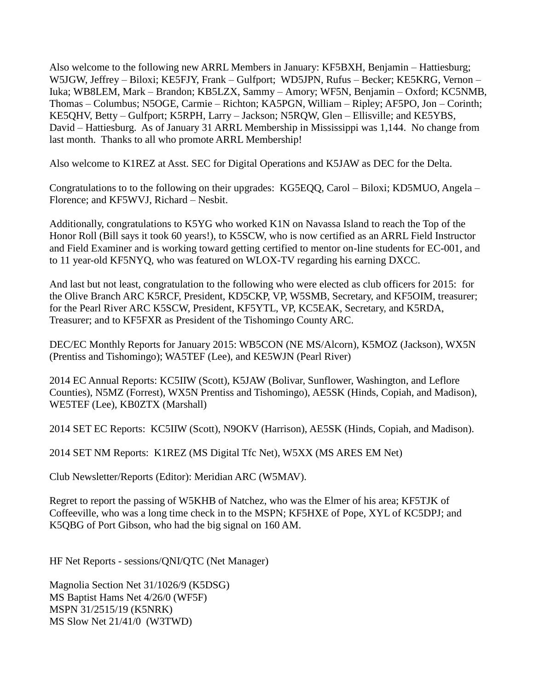Also welcome to the following new ARRL Members in January: KF5BXH, Benjamin – Hattiesburg; W5JGW, Jeffrey – Biloxi; KE5FJY, Frank – Gulfport; WD5JPN, Rufus – Becker; KE5KRG, Vernon – Iuka; WB8LEM, Mark – Brandon; KB5LZX, Sammy – Amory; WF5N, Benjamin – Oxford; KC5NMB, Thomas – Columbus; N5OGE, Carmie – Richton; KA5PGN, William – Ripley; AF5PO, Jon – Corinth; KE5QHV, Betty – Gulfport; K5RPH, Larry – Jackson; N5RQW, Glen – Ellisville; and KE5YBS, David – Hattiesburg. As of January 31 ARRL Membership in Mississippi was 1,144. No change from last month. Thanks to all who promote ARRL Membership!

Also welcome to K1REZ at Asst. SEC for Digital Operations and K5JAW as DEC for the Delta.

Congratulations to to the following on their upgrades: KG5EQQ, Carol – Biloxi; KD5MUO, Angela – Florence; and KF5WVJ, Richard – Nesbit.

Additionally, congratulations to K5YG who worked K1N on Navassa Island to reach the Top of the Honor Roll (Bill says it took 60 years!), to K5SCW, who is now certified as an ARRL Field Instructor and Field Examiner and is working toward getting certified to mentor on-line students for EC-001, and to 11 year-old KF5NYQ, who was featured on WLOX-TV regarding his earning DXCC.

And last but not least, congratulation to the following who were elected as club officers for 2015: for the Olive Branch ARC K5RCF, President, KD5CKP, VP, W5SMB, Secretary, and KF5OIM, treasurer; for the Pearl River ARC K5SCW, President, KF5YTL, VP, KC5EAK, Secretary, and K5RDA, Treasurer; and to KF5FXR as President of the Tishomingo County ARC.

DEC/EC Monthly Reports for January 2015: WB5CON (NE MS/Alcorn), K5MOZ (Jackson), WX5N (Prentiss and Tishomingo); WA5TEF (Lee), and KE5WJN (Pearl River)

2014 EC Annual Reports: KC5IIW (Scott), K5JAW (Bolivar, Sunflower, Washington, and Leflore Counties), N5MZ (Forrest), WX5N Prentiss and Tishomingo), AE5SK (Hinds, Copiah, and Madison), WE5TEF (Lee), KB0ZTX (Marshall)

2014 SET EC Reports: KC5IIW (Scott), N9OKV (Harrison), AE5SK (Hinds, Copiah, and Madison).

2014 SET NM Reports: K1REZ (MS Digital Tfc Net), W5XX (MS ARES EM Net)

Club Newsletter/Reports (Editor): Meridian ARC (W5MAV).

Regret to report the passing of W5KHB of Natchez, who was the Elmer of his area; KF5TJK of Coffeeville, who was a long time check in to the MSPN; KF5HXE of Pope, XYL of KC5DPJ; and K5QBG of Port Gibson, who had the big signal on 160 AM.

HF Net Reports - sessions/QNI/QTC (Net Manager)

Magnolia Section Net 31/1026/9 (K5DSG) MS Baptist Hams Net 4/26/0 (WF5F) MSPN 31/2515/19 (K5NRK) MS Slow Net 21/41/0 (W3TWD)